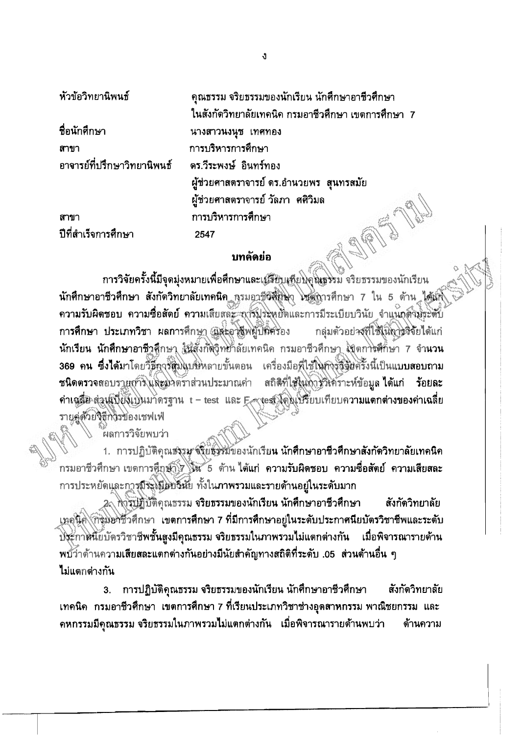หัวข้อวิทยานิพนธ์

ปีที่สำเร็จการศึกษา

สาขา

ที่อนักศึกษา สาขา อาจารย์ที่ปรึกษาวิทยานิพนธ์

คุณธรรม จริยธรรมของนักเรียน นักศึกษาอาชีวศึกษา ในสังกัดวิทยาลัยเทคนิค กรมอาชีวศึกษา เขตการศึกษา 7 นางสาวนงนุช เทศทอง การบริหารการศึกษา ดร.วีระพงษ์ อินทร์ทอง ผู้ช่วยศาสตราจารย์ ดร.อำนวยพร สุนทรสมัย ผู้ช่วยศาสตราจารย์ วัลภา ศศิวิมล การบริหารการศึกษา ASPITA 2547

## บทด้ดย่อ

การวิจัยครั้งนี้มีจุดมุ่งหมายเพื่อศึกษาและเฮรียบเทียบุคู่หรรรม จริยธรรมของนักเรียน นักศึกษาอาชีวศึกษา สังกัดวิทยาลัยเทคนิค กรมอาชีวศึกษา ไหตุการศึกษา 7 ใน 5 ด้าน ได้แก้ ความรับผิดชอบ ความซื่อสัดย์ ความเสียสละ การประหยัดและการมีระเบียบวินัย จำแนกตัวมีระดับ การศึกษา ประเภทวิชา ผลการศึกษา และอาชีพผู้ปลิศรอง กลุ่มตัวอย่างที่ใช้ในถาววิจัยได้แก่ นักเรียน นักศึกษาอาชีวสึกษา ในสั่งกัดวิทยาลัยเทคนิค กรมอาชีวศึกษา สุขตการศึกษา 7 จำนวน 369 คน ซึ่งได้มาโดยวิธีการสู่มินบริหลายขั้นตอน เครื่องมือที่ใช้ในการซึ่งอิธีรั้งนี้เป็นแบบสอบถาม ชนิดตรวจสอบรายการไแ่ละมาตราส่วนประมาณค่า สถิติที่ใช้ในถ้ารู้วิเคราะห์ข้อมูล ได้แก่ ร้อยละ ค่าเคลือ ส่วนเบียงเบินมาดรฐาน t - test และ Extest โดยเปรียบเทียบความแตกต่างของค่าเฉลี่ย รายคู่ตัวยวิธีการของเชฟเฟ่

้ผลการวิจัยพบว่า

1. การปฏิบัติคุณธรรม จุริย์ธรรมของนักเรียน นักศึกษาอาชีวศึกษาสังกัดวิทยาลัยเทคนิค กรมอาชีวศึกษา เขดการคึกษา 1 นั้น 5 ด้าน ได้แก่ ความรับผิดชอบ ความชื่อสัตย์ ความเสียสละ การประหยัดและการมีระโป๊ยับวิหัย ทั้งในภาพรวมและรายด้านอยู่ในระดับมาก

2 พิวรับฏิบัติคุณธรรม จริยธรรมของนักเรียน นักศึกษาอาชีวศึกษา สังกัดวิทยาลัย เทคนิค กิจุมอาชีวศึกษา เขตการศึกษา 7 ที่มีการศึกษาอยู่ในระดับประกาศนียบัตรวิชาชีพและระดับ ปิระกาศนี้ยบัดรวิชาชีพชั้นสูงมีคุณธรรม จริยธรรมในภาพรวมไม่แตกต่างกัน เมื่อพิจารณารายด้าน พบ้ว่าด้านความเสียสละแตกต่างกันอย่างมีนัยสำคัญทางสถิติที่ระดับ .05 ส่วนด้านอื่น ๆ **ไ**ม่แตกต่างกัน

3. การปฏิบัติคุณธรรม จริยธรรมของนักเรียน นักศึกษาอาชีวศึกษา สังกัดวิทยาลัย เทคนิค กรมอาชีวศึกษา เขตการศึกษา 7 ที่เรียนประเภทวิชาช่างอุดสาหกรรม พาณิชยกรรม และ ึคหกรรมมีคุณธรรม จริยธรรมในภาพรวมไม่แตกต่างกัน เมื่อพิจารณารายด้านพบว่า ต้านความ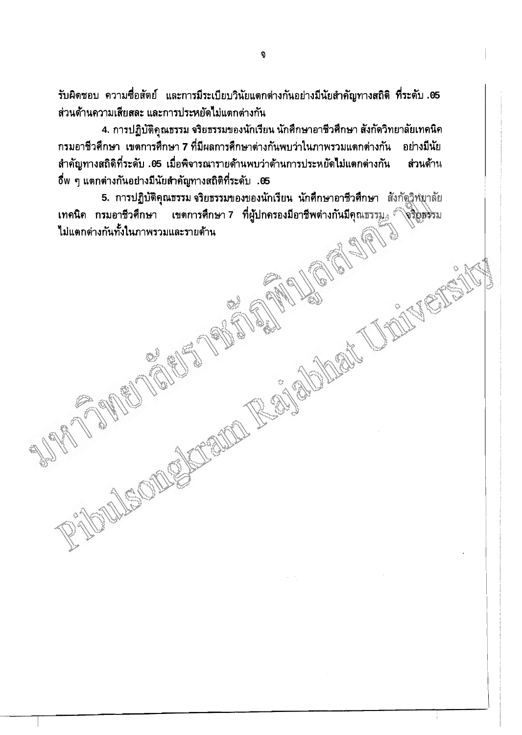รับผิดชอบ ความซื่อสัตย์ และการมีระเบียบวินัยแตกต่างกันอย่างมีนัยสำคัญทางสถิติ ที่ระดับ .05 ส่วนด้านความเสียสละ และการประหยัดไม่แตกต่างกัน

4. การปฏิบัติคุณธรรม จริยธรรมของนักเรียน นักศึกษาอาชีวศึกษา สังกัดวิทยาลัยเทคนิค ิกรมอาชีวศึกษา เขตการศึกษา 7 ที่มีผลการศึกษาต่างกันพบว่าในภาพรวมแตกต่างกัน อย่างมีนัย ้สำคัญทางสถิติที่ระดับ .05 เมื่อพิจารณารายด้านพบว่าด้านการประหยัดไม่แตกต่างกัน ส่วนด้าน ี่ 0ี่พ ๆ แตกต่างกันอย่างมีนัยสำคัญทางสถิติที่ระดับ .05

5. การปฏิบัติคุณธรรม จริยธรรมของของนักเรียน นักศึกษาอาชีวศึกษา สังกัดวิพิยาลัย เทคนิค กรมอาชีวศึกษา เขตการศึกษา 7 ที่ผู้ปกครองมีอาชีพต่างกันมีคุณธรรม. โจริยุธรรม ไม่แตกต่างกันทั้งในภาพรวมและรายด้าน

auth Railway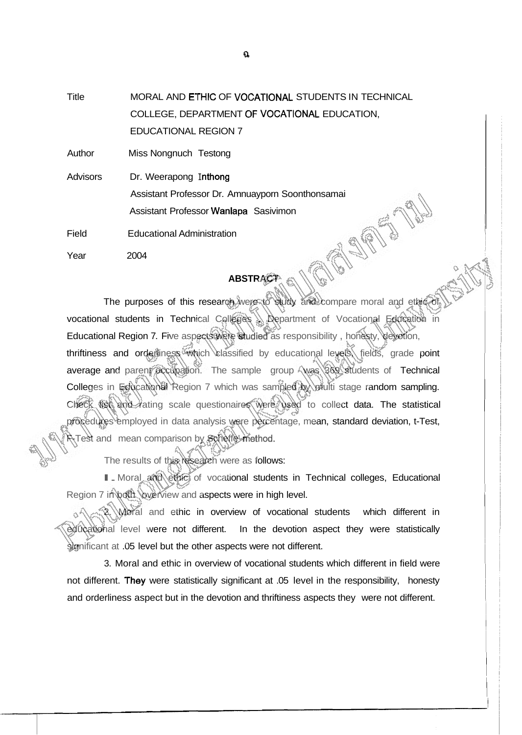Title MORAL AND ETHIC OF VOCATIONAL STUDENTS IN TECHNICAL COLLEGE, DEPARTMENT OF VOCATIONAL EDUCATION, EDUCATIONAL REGION 7

Author Miss Nongnuch Testong

Advisors Dr. Weerapong Inthong Assistant Professor Dr. Amnuayporn Soonthonsamai Assistant Professor Wanlapa Sasivimon **OFFERED** 

Field Educational Administration

Year 2004

## **ABSTRACT**

The purposes of this research were to study and compare moral and ethic of vocational students in Technical Colleges , Department of Vocational Education in Educational Region 7. Five aspects were studied as responsibility , honesty, devotion, thriftiness and orderliness which classified by educational levels, fields, grade point average and parent accupation. The sample group was 369 students of Technical Colleges in Educational Region 7 which was sampled by multi stage random sampling. Check list and rating scale questionaires were used to collect data. The statistical procedures employed in data analysis were percentage, mean, standard deviation, t-Test, Test and mean comparison by Scheffe' method.

The results of this research were as follows:

I Moral and ethic of vocational students in Technical colleges, Educational Region 7 in both overview and aspects were in high level.

2. Moral and ethic in overview of vocational students which different in educational level were not different. In the devotion aspect they were statistically significant at .05 level but the other aspects were not different.

3. Moral and ethic in overview of vocational students which different in field were not different. 'They were statistically significant at .05 level in the responsibility, honesty and orderliness aspect but in the devotion and thriftiness aspects they were not different.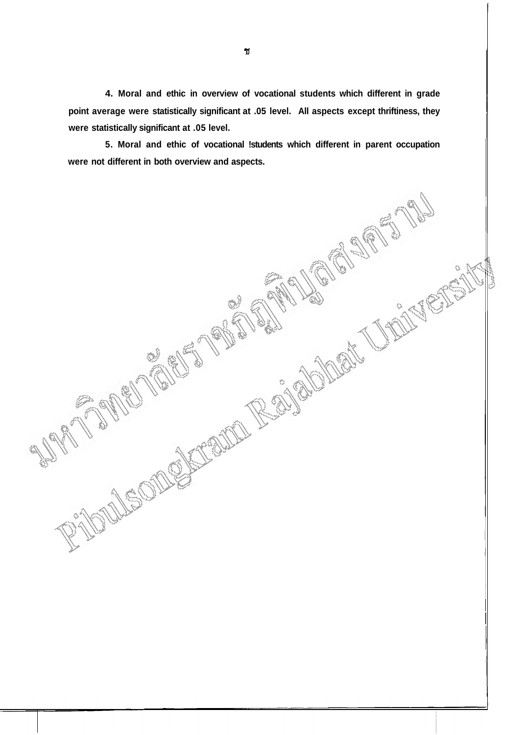**4. Moral and ethic in overview of vocational students which different in grade point average were statistically significant at .05 level. All aspects except thriftiness, they were statistically significant at .05 level.** 

**5. Moral and ethic of vocational !students which different in parent occupation were not different in both overview and aspects.** 

MejOID

ACCORD RESIGNATION AND RESEARCH